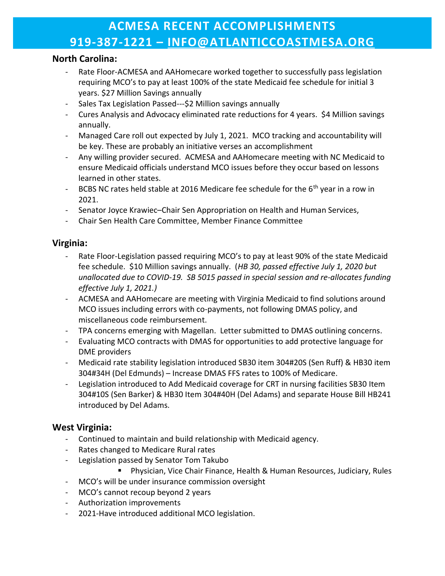# ACMESA RECENT ACCOMPLISHMENTS 919-387-1221 – INFO@ATLANTICCOASTMESA.ORG

#### North Carolina:

- Rate Floor-ACMESA and AAHomecare worked together to successfully pass legislation requiring MCO's to pay at least 100% of the state Medicaid fee schedule for initial 3 years. \$27 Million Savings annually
- Sales Tax Legislation Passed---\$2 Million savings annually
- Cures Analysis and Advocacy eliminated rate reductions for 4 years. \$4 Million savings annually.
- Managed Care roll out expected by July 1, 2021. MCO tracking and accountability will be key. These are probably an initiative verses an accomplishment
- Any willing provider secured. ACMESA and AAHomecare meeting with NC Medicaid to ensure Medicaid officials understand MCO issues before they occur based on lessons learned in other states.
- BCBS NC rates held stable at 2016 Medicare fee schedule for the  $6<sup>th</sup>$  year in a row in 2021.
- Senator Joyce Krawiec–Chair Sen Appropriation on Health and Human Services,
- Chair Sen Health Care Committee, Member Finance Committee

#### Virginia:

- Rate Floor-Legislation passed requiring MCO's to pay at least 90% of the state Medicaid fee schedule. \$10 Million savings annually. (HB 30, passed effective July 1, 2020 but unallocated due to COVID-19. SB 5015 passed in special session and re-allocates funding effective July 1, 2021.)
- ACMESA and AAHomecare are meeting with Virginia Medicaid to find solutions around MCO issues including errors with co-payments, not following DMAS policy, and miscellaneous code reimbursement.
- TPA concerns emerging with Magellan. Letter submitted to DMAS outlining concerns.
- Evaluating MCO contracts with DMAS for opportunities to add protective language for DME providers
- Medicaid rate stability legislation introduced SB30 item 304#20S (Sen Ruff) & HB30 item 304#34H (Del Edmunds) – Increase DMAS FFS rates to 100% of Medicare.
- Legislation introduced to Add Medicaid coverage for CRT in nursing facilities SB30 Item 304#10S (Sen Barker) & HB30 Item 304#40H (Del Adams) and separate House Bill HB241 introduced by Del Adams.

## West Virginia:

- Continued to maintain and build relationship with Medicaid agency.
- Rates changed to Medicare Rural rates
- Legislation passed by Senator Tom Takubo
	- Physician, Vice Chair Finance, Health & Human Resources, Judiciary, Rules
- MCO's will be under insurance commission oversight
- MCO's cannot recoup beyond 2 years
- Authorization improvements
- 2021-Have introduced additional MCO legislation.